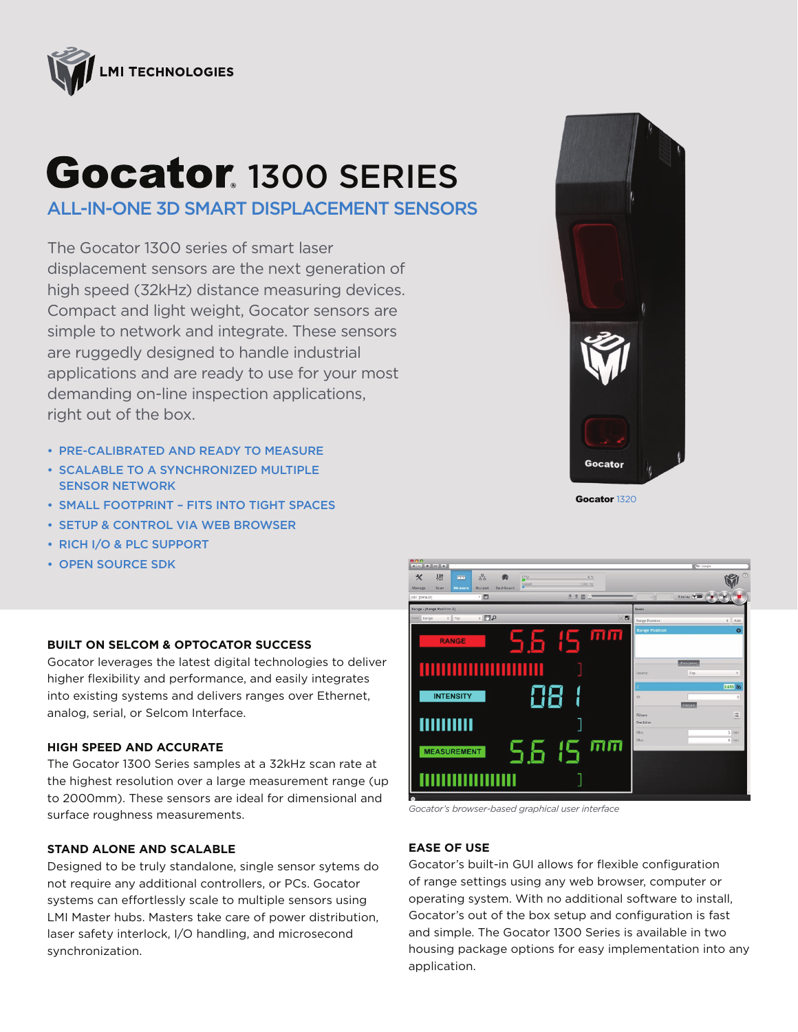

# Gocator. 1300 SERIES

ALL-IN-ONE 3D SMART DISPLACEMENT SENSORS

The Gocator 1300 series of smart laser displacement sensors are the next generation of high speed (32kHz) distance measuring devices. Compact and light weight, Gocator sensors are simple to network and integrate. These sensors are ruggedly designed to handle industrial applications and are ready to use for your most demanding on-line inspection applications, right out of the box.

- PRE-CALIBRATED AND READY TO MEASURE
- SCALABLE TO A SYNCHRONIZED MULTIPLE SENSOR NETWORK
- SMALL FOOTPRINT FITS INTO TIGHT SPACES
- SETUP & CONTROL VIA WEB BROWSER
- RICH I/O & PLC SUPPORT
- OPEN SOURCE SDK

## **BUILT ON SELCOM & OPTOCATOR SUCCESS**

Gocator leverages the latest digital technologies to deliver higher flexibility and performance, and easily integrates into existing systems and delivers ranges over Ethernet, analog, serial, or Selcom Interface.

### **HIGH SPEED AND ACCURATE**

The Gocator 1300 Series samples at a 32kHz scan rate at the highest resolution over a large measurement range (up to 2000mm). These sensors are ideal for dimensional and surface roughness measurements.

#### **STAND ALONE AND SCALABLE**

Designed to be truly standalone, single sensor sytems do not require any additional controllers, or PCs. Gocator systems can effortlessly scale to multiple sensors using LMI Master hubs. Masters take care of power distribution, laser safety interlock, I/O handling, and microsecond synchronization.



Gocator 1320



*Gocator's browser-based graphical user interface*

## **EASE OF USE**

Gocator's built-in GUI allows for flexible configuration of range settings using any web browser, computer or operating system. With no additional software to install, Gocator's out of the box setup and configuration is fast and simple. The Gocator 1300 Series is available in two housing package options for easy implementation into any application.